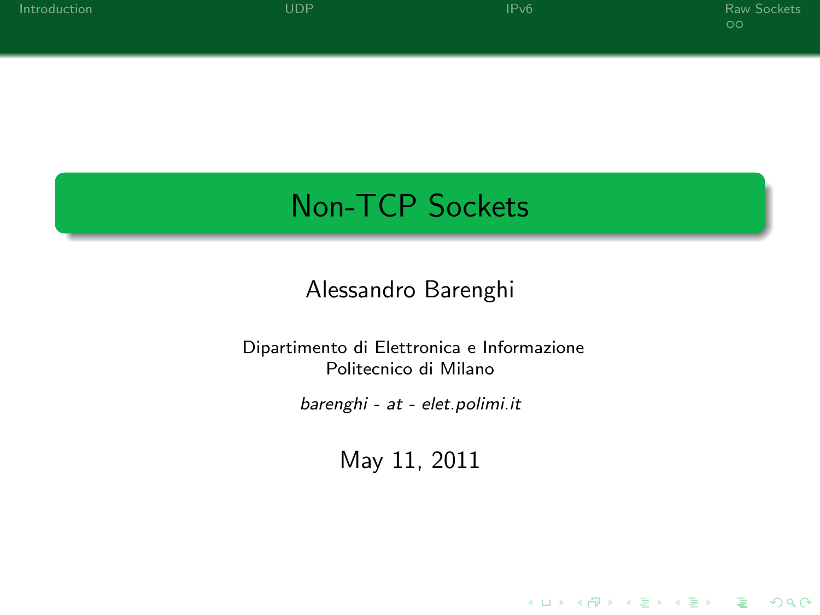K ロ ▶ K @ ▶ K 할 > K 할 > 1 할 > 1 이익어

# Non-TCP Sockets

### Alessandro Barenghi

#### Dipartimento di Elettronica e Informazione Politecnico di Milano

barenghi - at - elet.polimi.it

May 11, 2011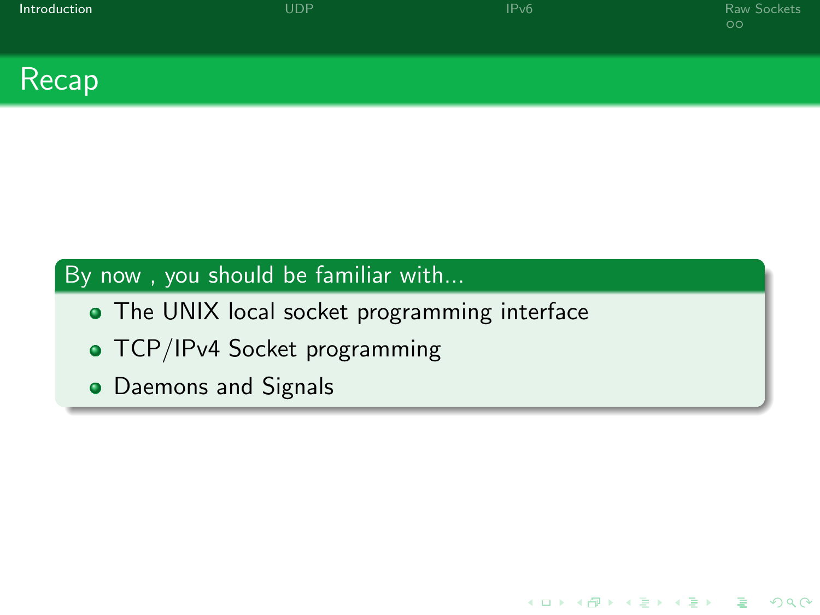| Introduction             | UDP | IPv6 | Raw Sockets<br>$\circ$ |
|--------------------------|-----|------|------------------------|
| $\overline{\phantom{a}}$ |     |      |                        |

K ロ ▶ K @ ▶ K 할 X X 할 X | 할 X 10 Q Q

### Recap

### By now , you should be familiar with...

- The UNIX local socket programming interface
- TCP/IPv4 Socket programming
- <span id="page-1-0"></span>Daemons and Signals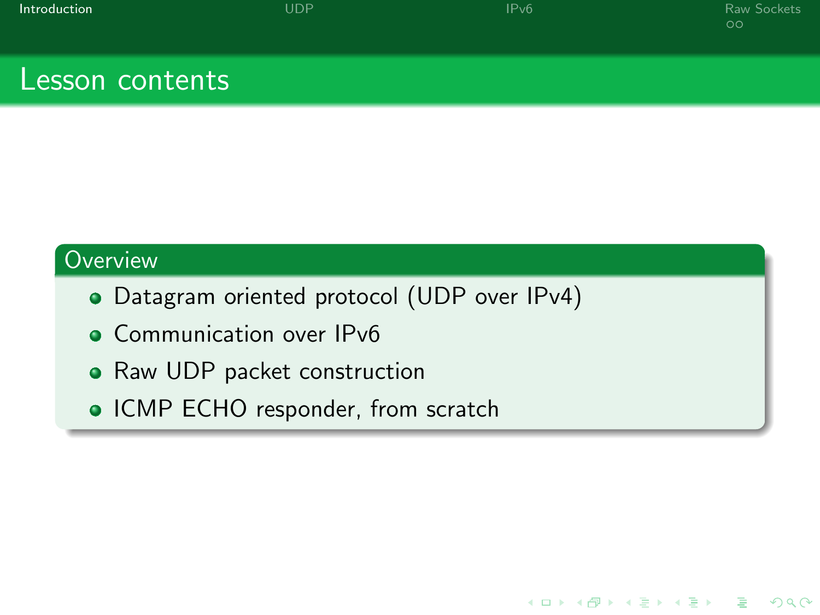| Introduction |
|--------------|
|              |

K ロ > K 個 > K 差 > K 差 > → 差 → の Q Q →

### Lesson contents

#### **Overview**

- Datagram oriented protocol (UDP over IPv4)
- Communication over IPv6
- Raw UDP packet construction
- ICMP ECHO responder, from scratch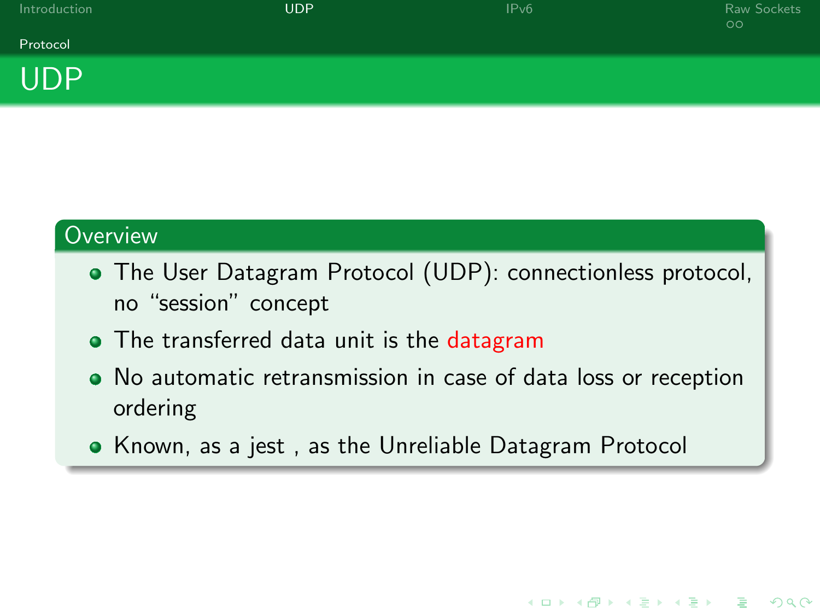| Introduction   | UDP' | IPv6 | Raw Sockets<br>$\circ$ |
|----------------|------|------|------------------------|
| Protocol       |      |      |                        |
| $\blacksquare$ |      |      |                        |

#### **Overview**

UDP

- The User Datagram Protocol (UDP): connectionless protocol, no "session" concept
- The transferred data unit is the datagram
- No automatic retransmission in case of data loss or reception ordering

**KORK STRAIN A BAR DE ROACH** 

<span id="page-3-0"></span>Known, as a jest , as the Unreliable Datagram Protocol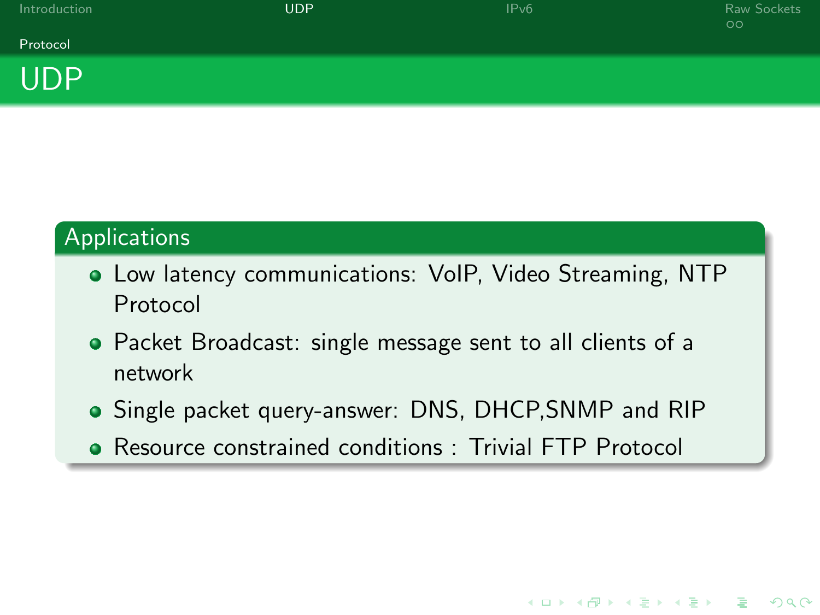| Introduction | <b>UDP</b> | IPv6 | Raw Sockets<br>$\circ$ |
|--------------|------------|------|------------------------|
| Protocol     |            |      |                        |
| _____        |            |      |                        |

### Applications

UDP

- Low latency communications: VoIP, Video Streaming, NTP Protocol
- Packet Broadcast: single message sent to all clients of a network
- Single packet query-answer: DNS, DHCP,SNMP and RIP

**KORK STRAIN A BAR DE ROACH** 

Resource constrained conditions : Trivial FTP Protocol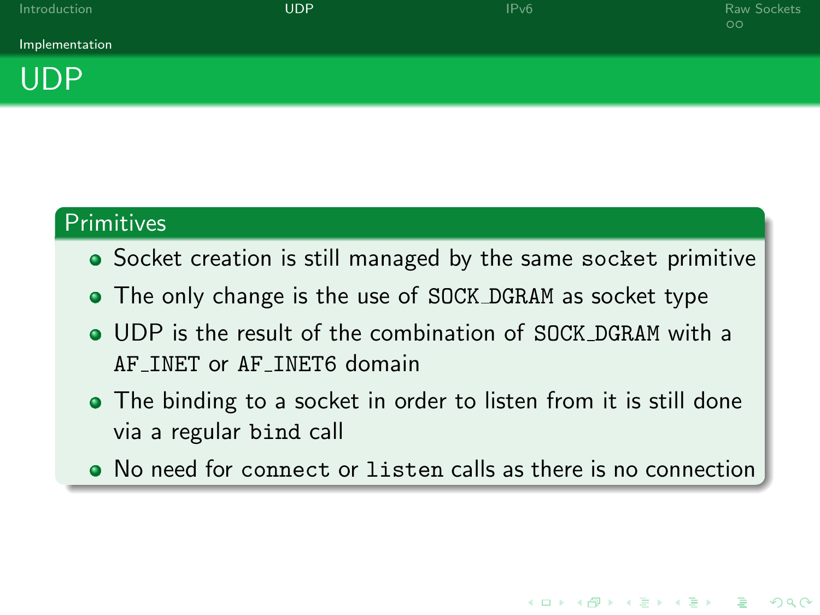**KORK STRAIN A BAR DE ROACH** 



### Primitives

- Socket creation is still managed by the same socket primitive
- The only change is the use of SOCK DGRAM as socket type
- UDP is the result of the combination of SOCK DGRAM with a AF INET or AF INET6 domain
- The binding to a socket in order to listen from it is still done via a regular bind call
- No need for connect or listen calls as there is no connection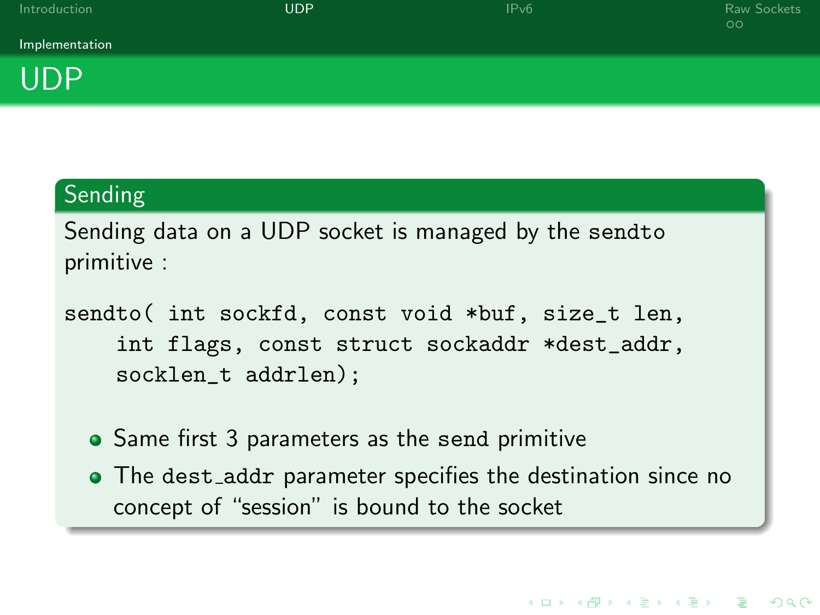| Introduction   | <b>UDP</b> | IPv6 | Raw Sockets<br>$\circ \circ$ |
|----------------|------------|------|------------------------------|
| Implementation |            |      |                              |
| <b>UDP</b>     |            |      |                              |

### Sending

Sending data on a UDP socket is managed by the sendto primitive :

sendto( int sockfd, const void \*buf, size\_t len, int flags, const struct sockaddr \*dest\_addr, socklen\_t addrlen);

- Same first 3 parameters as the send primitive
- The dest\_addr parameter specifies the destination since no concept of "session" is bound to the socket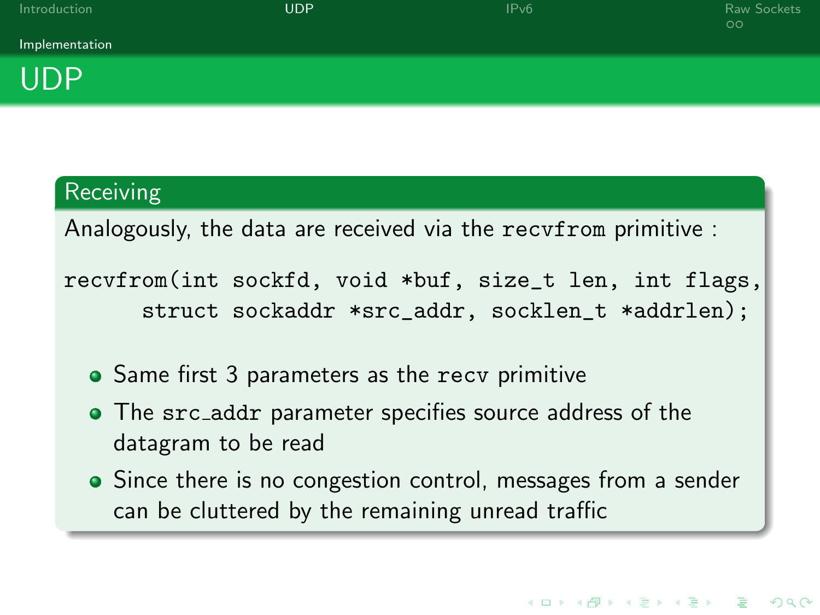| Introduction   | UDP | IPv6 | Raw Sockets<br>$\circ$ |
|----------------|-----|------|------------------------|
| Implementation |     |      |                        |
| חרוו           |     |      |                        |

#### **Receiving**

UDI

Analogously, the data are received via the recvfrom primitive :

recvfrom(int sockfd, void \*buf, size\_t len, int flags, struct sockaddr \*src\_addr, socklen\_t \*addrlen);

- Same first 3 parameters as the recy primitive
- The src\_addr parameter specifies source address of the datagram to be read
- Since there is no congestion control, messages from a sender can be cluttered by the remaining unread traffic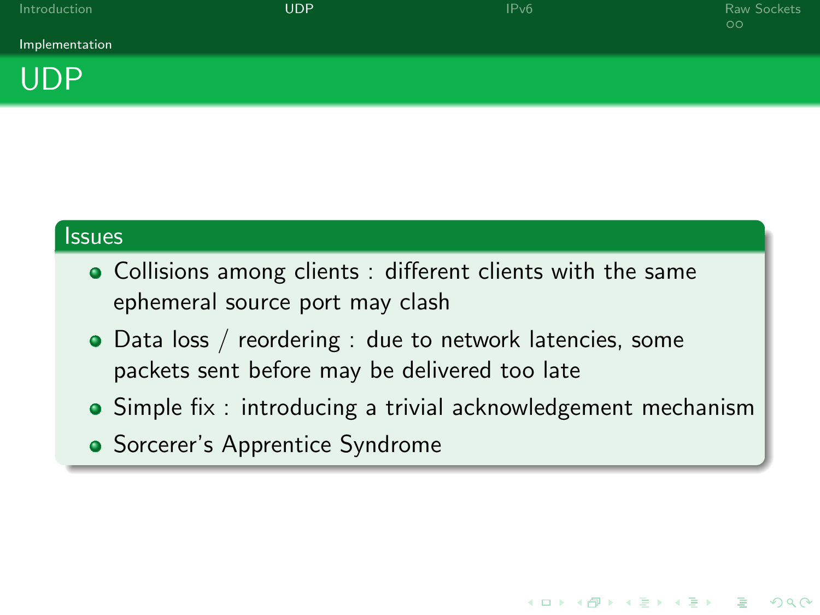| Introduction |  |
|--------------|--|

[Introduction](#page-1-0) [UDP](#page-3-0) [IPv6](#page-12-0) [Raw Sockets](#page-14-0)

**KORK EXTER IT ARE** 

Implementation



#### **Issues**

- Collisions among clients : different clients with the same ephemeral source port may clash
- Data loss / reordering : due to network latencies, some packets sent before may be delivered too late
- Simple fix : introducing a trivial acknowledgement mechanism
- Sorcerer's Apprentice Syndrome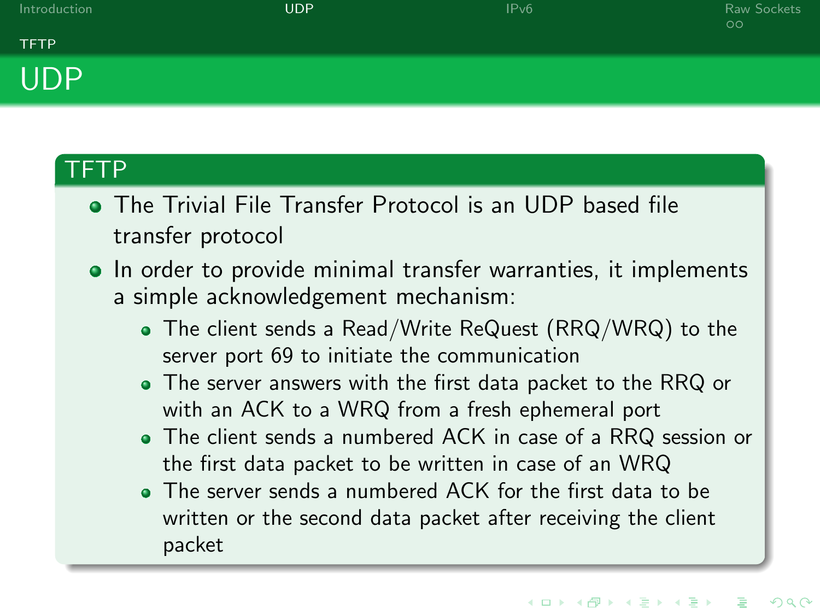

#### TFTP

- The Trivial File Transfer Protocol is an UDP based file transfer protocol
- In order to provide minimal transfer warranties, it implements a simple acknowledgement mechanism:
	- The client sends a Read/Write ReQuest (RRQ/WRQ) to the server port 69 to initiate the communication
	- The server answers with the first data packet to the RRQ or with an ACK to a WRQ from a fresh ephemeral port
	- The client sends a numbered ACK in case of a RRQ session or the first data packet to be written in case of an WRQ
	- The server sends a numbered ACK for the first data to be written or the second data packet after receiving the client packet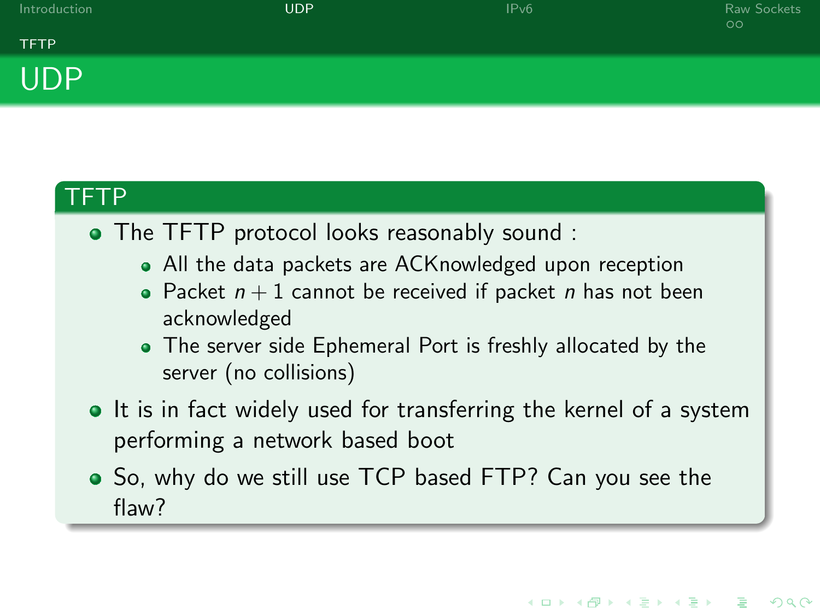**KORK EXTER IT ARE** 

### **TFTP** UDP

### TFTP

- The TFTP protocol looks reasonably sound :
	- All the data packets are ACKnowledged upon reception
	- Packet  $n + 1$  cannot be received if packet n has not been acknowledged
	- The server side Ephemeral Port is freshly allocated by the server (no collisions)
- It is in fact widely used for transferring the kernel of a system performing a network based boot
- So, why do we still use TCP based FTP? Can you see the flaw?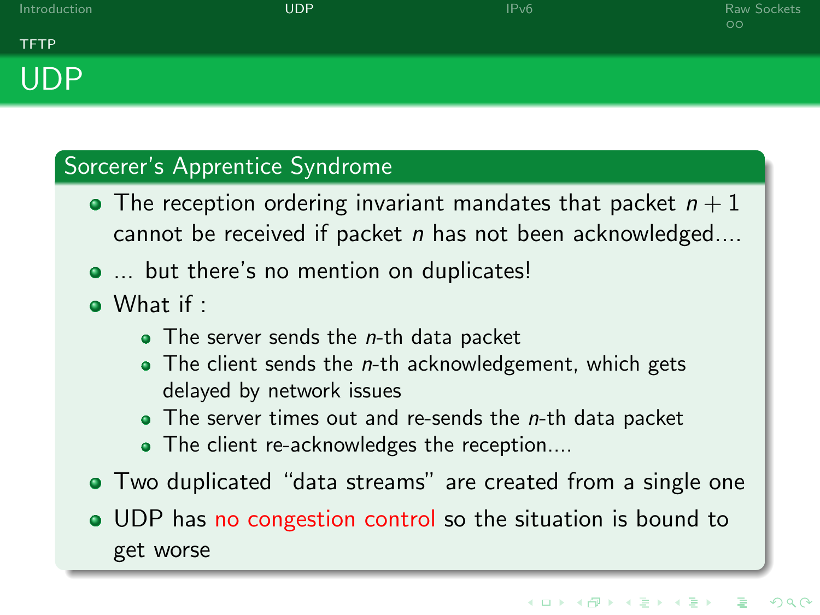

#### Sorcerer's Apprentice Syndrome

- $\bullet$  The reception ordering invariant mandates that packet  $n+1$ cannot be received if packet  $n$  has not been acknowledged....
- $\bullet$  ... but there's no mention on duplicates!
- $\bullet$  What if  $\cdot$ 
	- $\bullet$  The server sends the *n*-th data packet
	- $\bullet$  The client sends the *n*-th acknowledgement, which gets delayed by network issues
	- $\bullet$  The server times out and re-sends the *n*-th data packet
	- The client re-acknowledges the reception....
- Two duplicated "data streams" are created from a single one
- UDP has no congestion control so the situation is bound to get worse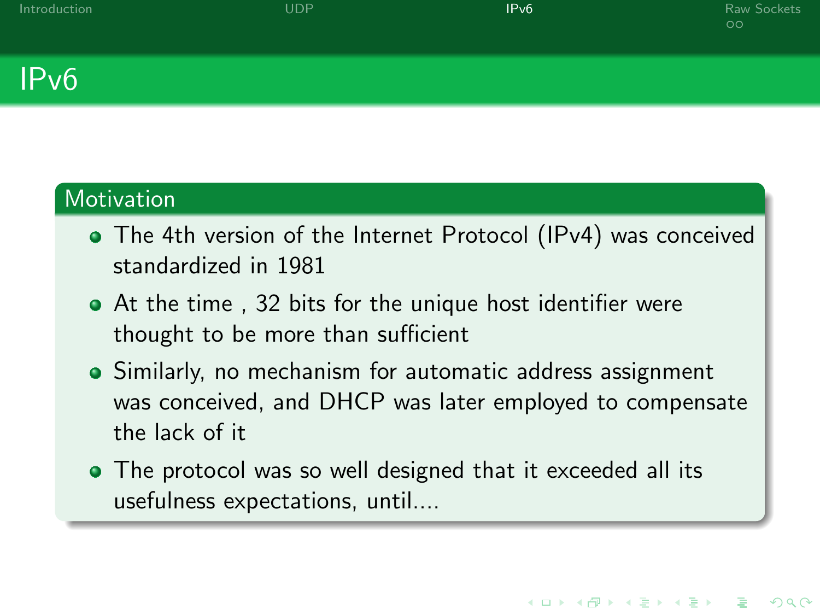**KORK EXTER IT ARE** 

# IPv6

#### Motivation

- The 4th version of the Internet Protocol (IPv4) was conceived standardized in 1981
- At the time , 32 bits for the unique host identifier were thought to be more than sufficient
- Similarly, no mechanism for automatic address assignment was conceived, and DHCP was later employed to compensate the lack of it
- <span id="page-12-0"></span>• The protocol was so well designed that it exceeded all its usefulness expectations, until....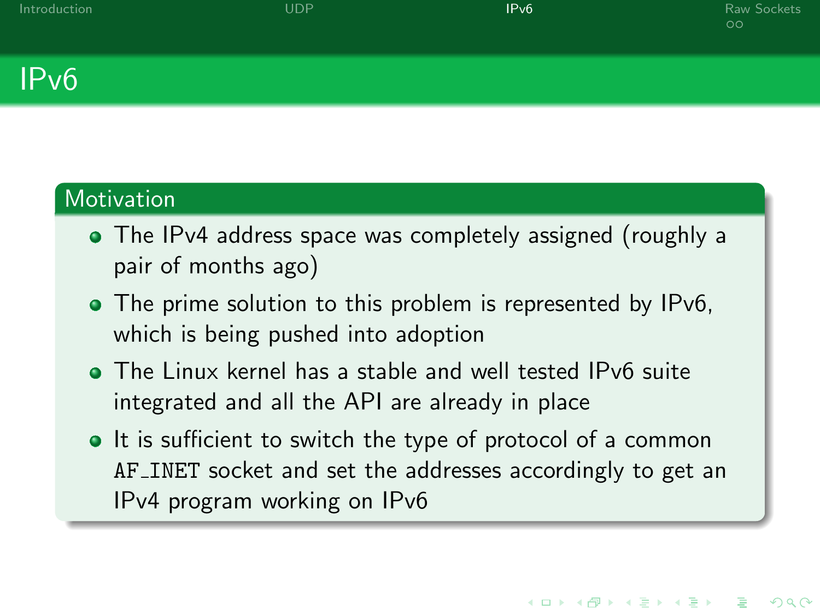**KORK STRAIN A BAR DE ROACH** 

### IPv6

#### **Motivation**

- The IPv4 address space was completely assigned (roughly a pair of months ago)
- The prime solution to this problem is represented by IPv6, which is being pushed into adoption
- The Linux kernel has a stable and well tested IPv6 suite integrated and all the API are already in place
- It is sufficient to switch the type of protocol of a common AF INET socket and set the addresses accordingly to get an IPv4 program working on IPv6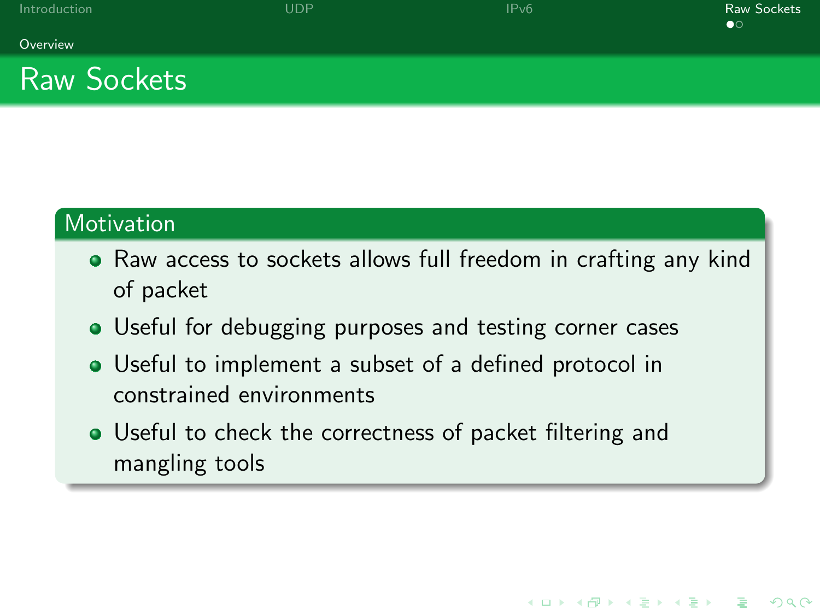K ロ ▶ K @ ▶ K 할 X X 할 X | 할 X 10 Q Q

#### Overview

## Raw Sockets

#### **Motivation**

- Raw access to sockets allows full freedom in crafting any kind of packet
- Useful for debugging purposes and testing corner cases
- Useful to implement a subset of a defined protocol in constrained environments
- <span id="page-14-0"></span>Useful to check the correctness of packet filtering and mangling tools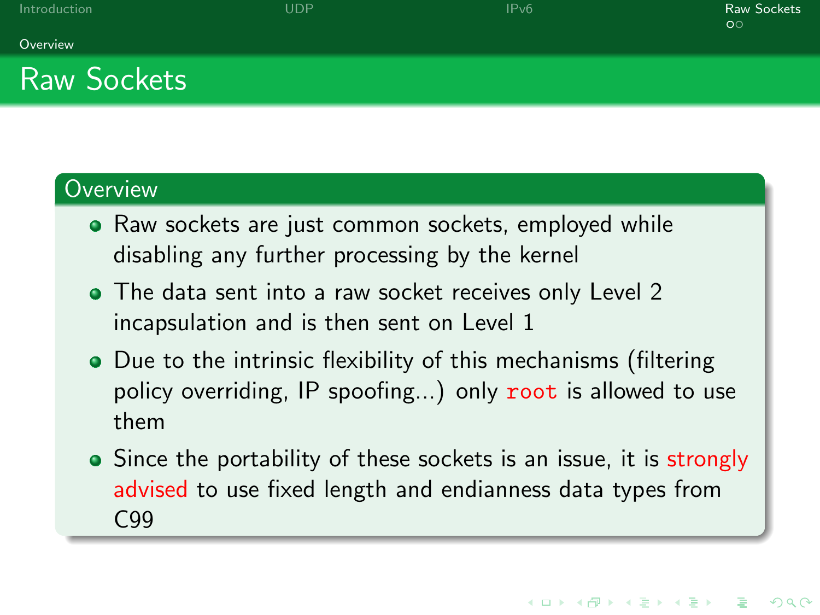#### Overview

## Raw Sockets

### **Overview**

- Raw sockets are just common sockets, employed while disabling any further processing by the kernel
- The data sent into a raw socket receives only Level 2 incapsulation and is then sent on Level 1
- Due to the intrinsic flexibility of this mechanisms (filtering policy overriding, IP spoofing...) only root is allowed to use them
- Since the portability of these sockets is an issue, it is strongly advised to use fixed length and endianness data types from C99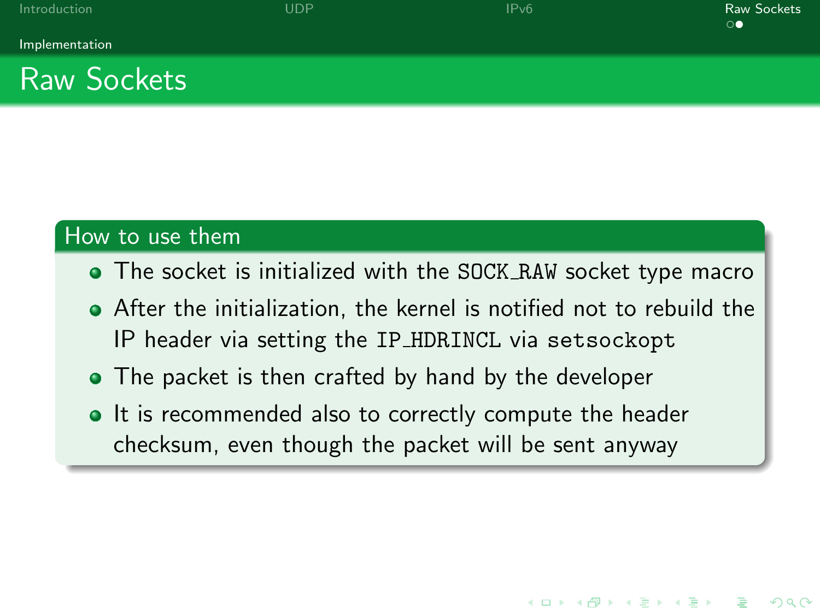**KORK STRAIN A BAR DE ROACH** 

# Raw Sockets

#### How to use them

- The socket is initialized with the SOCK RAW socket type macro
- After the initialization, the kernel is notified not to rebuild the IP header via setting the IP HDRINCL via setsockopt
- The packet is then crafted by hand by the developer
- It is recommended also to correctly compute the header checksum, even though the packet will be sent anyway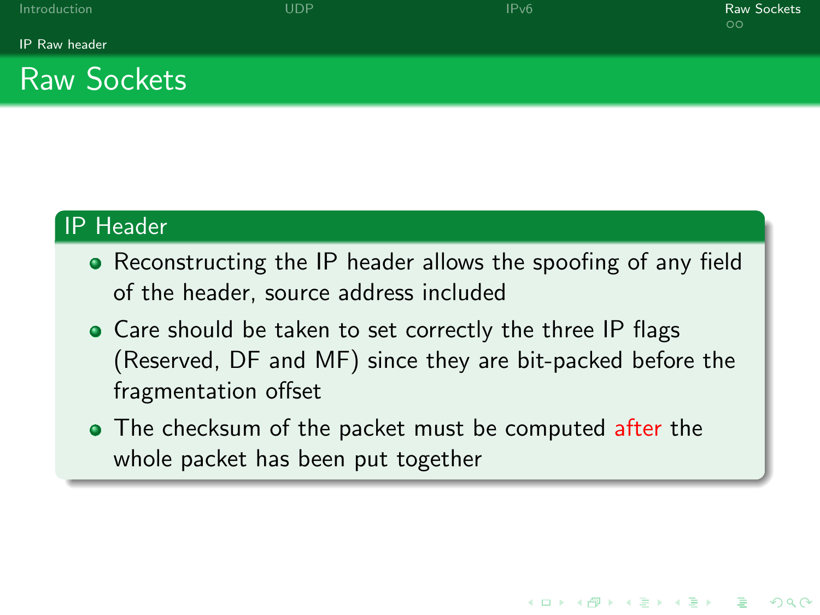**KORK EXTER IT ARE** 

IP Raw header

# Raw Sockets

### IP Header

- Reconstructing the IP header allows the spoofing of any field of the header, source address included
- Care should be taken to set correctly the three IP flags (Reserved, DF and MF) since they are bit-packed before the fragmentation offset
- The checksum of the packet must be computed after the whole packet has been put together